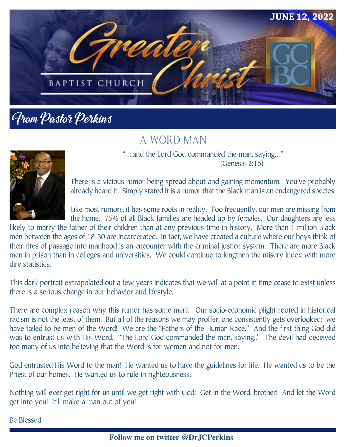

## From Pastor Perkins

### A WORD MAN



"….and the Lord God commanded the man, saying…" (Genesis 2:16)

There is a vicious rumor being spread about and gaining momentum. You've probably already heard it. Simply stated it is a rumor that the Black man is an endangered species.

Like most rumors, it has some roots in reality. Too frequently, our men are missing from the home. 75% of all Black families are headed up by females. Our daughters are less

likely to marry the father of their children than at any previous time in history. More than 1 million Black men between the ages of 18-30 are incarcerated. In fact, we have created a culture where our boys think of their rites of passage into manhood is an encounter with the criminal justice system. There are more Black men in prison than in colleges and universities. We could continue to lengthen the misery index with more dire statistics.

This dark portrait extrapolated out a few years indicates that we will at a point in time cease to exist unless there is a serious change in our behavior and lifestyle.

There are complex reason why this rumor has some merit. Our socio-economic plight rooted in historical racism is not the least of them. But all of the reasons we may proffer, one consistently gets overlooked: we have failed to be men of the Word! We are the "Fathers of the Human Race." And the first thing God did was to entrust us with His Word. "The Lord God commanded the man, saying.." The devil had deceived too many of us into believing that the Word is for women and not for men.

God entrusted His Word to the man! He wanted us to have the guidelines for life. He wanted us to be the Priest of our homes. He wanted us to rule in righteousness.

Nothing will ever get right for us until we get right with God! Get in the Word, brother! And let the Word get into you! It'll make a man out of you!

Be Blessed